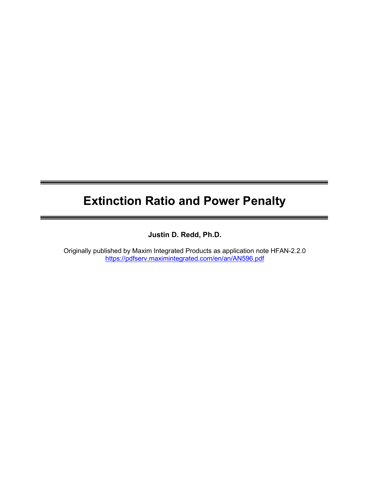# Extinction Ratio and Power Penalty

Justin D. Redd, Ph.D.

Originally published by Maxim Integrated Products as application note HFAN-2.2.0 https://pdfserv.maximintegrated.com/en/an/AN596.pdf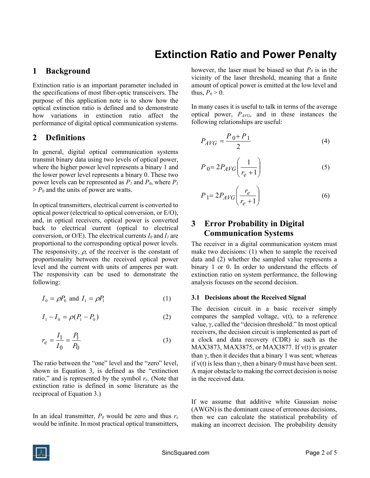## Extinction Ratio and Power Penalty

## 1 Background

Extinction ratio is an important parameter included in the specifications of most fiber-optic transceivers. The purpose of this application note is to show how the optical extinction ratio is defined and to demonstrate how variations in extinction ratio affect the performance of digital optical communication systems.

### 2 Definitions

In general, digital optical communication systems transmit binary data using two levels of optical power, where the higher power level represents a binary 1 and the lower power level represents a binary 0. These two power levels can be represented as  $P_l$  and  $P_0$ , where  $P_l$  $> P_0$  and the units of power are watts.

In optical transmitters, electrical current is converted to optical power (electrical to optical conversion, or E/O), and, in optical receivers, optical power is converted back to electrical current (optical to electrical conversion, or O/E). The electrical currents  $I_0$  and  $I_1$  are proportional to the corresponding optical power levels. The responsivity,  $\rho$ , of the receiver is the constant of proportionality between the received optical power level and the current with units of amperes per watt. The responsivity can be used to demonstrate the following:

$$
I_0 = \rho P_0 \text{ and } I_1 = \rho P_1 \tag{1}
$$

$$
I_1 - I_0 = \rho (P_1 - P_0) \tag{2}
$$

$$
r_e = \frac{I_1}{I_0} = \frac{P_1}{P_0}
$$
 (3)

The ratio between the "one" level and the "zero" level, shown in Equation 3, is defined as the "extinction ratio," and is represented by the symbol  $r_e$ . (Note that extinction ratio is defined in some literature as the reciprocal of Equation 3.)

In an ideal transmitter,  $P_0$  would be zero and thus  $r_e$ would be infinite. In most practical optical transmitters,

however, the laser must be biased so that  $P_0$  is in the vicinity of the laser threshold, meaning that a finite amount of optical power is emitted at the low level and thus,  $P_0 > 0$ .

In many cases it is useful to talk in terms of the average optical power,  $P_{AVG}$ , and in these instances the following relationships are useful:

$$
P_{AVG} = \frac{P_0 + P_1}{2} \tag{4}
$$

$$
P_0 = 2P_{AVG}\left(\frac{1}{r_e + 1}\right) \tag{5}
$$

$$
P_1 = 2P_{AVG} \left( \frac{r_e}{r_e + 1} \right) \tag{6}
$$

## 3 Error Probability in Digital Communication Systems

The receiver in a digital communication system must make two decisions: (1) when to sample the received data and (2) whether the sampled value represents a binary 1 or 0. In order to understand the effects of extinction ratio on system performance, the following analysis focuses on the second decision.

#### 3.1 Decisions about the Received Signal

The decision circuit in a basic receiver simply compares the sampled voltage,  $v(t)$ , to a reference value,  $\gamma$ , called the "decision threshold." In most optical receivers, the decision circuit is implemented as part of a clock and data recovery (CDR) ic such as the MAX3873, MAX3875, or MAX3877. If v(t) is greater than  $\gamma$ , then it decides that a binary 1 was sent; whereas if  $v(t)$  is less than  $\gamma$ , then a binary 0 must have been sent. A major obstacle to making the correct decision is noise in the received data.

If we assume that additive white Gaussian noise (AWGN) is the dominant cause of erroneous decisions, then we can calculate the statistical probability of making an incorrect decision. The probability density

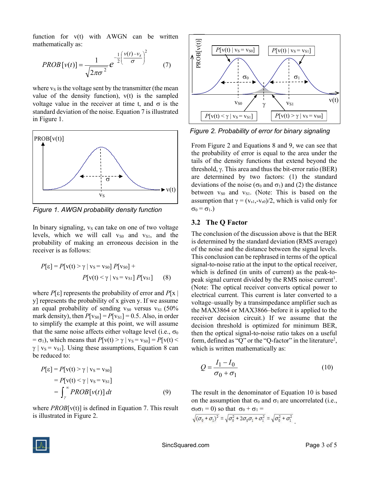function for v(t) with AWGN can be written mathematically as:

$$
PROB[v(t)] = \frac{1}{\sqrt{2\pi\sigma^2}} e^{-\frac{1}{2} \left(\frac{v(t) - v_s}{\sigma}\right)^2}
$$
(7)

where  $v<sub>S</sub>$  is the voltage sent by the transmitter (the mean value of the density function),  $v(t)$  is the sampled voltage value in the receiver at time t, and  $\sigma$  is the standard deviation of the noise. Equation 7 is illustrated in Figure 1.



Figure 1. AWGN probability density function

In binary signaling,  $v<sub>S</sub>$  can take on one of two voltage levels, which we will call  $v_{S0}$  and  $v_{S1}$ , and the probability of making an erroneous decision in the receiver is as follows:

$$
P[\varepsilon] = P[v(t) > \gamma \mid v_{\rm S} = v_{\rm S0}] P[v_{\rm S0}] +
$$

$$
P[v(t) < \gamma \mid v_{\rm S} = v_{\rm S1}] P[v_{\rm S1}] \qquad (8)
$$

where  $P[\varepsilon]$  represents the probability of error and  $P[\mathbf{x}]$ y] represents the probability of x given y. If we assume an equal probability of sending  $v_{S0}$  versus  $v_{S1}$  (50% mark density), then  $P[v_{S0}] = P[v_{S1}] = 0.5$ . Also, in order to simplify the example at this point, we will assume that the same noise affects either voltage level (i.e.,  $\sigma_0$ )  $= \sigma_1$ ), which means that  $P[v(t) > \gamma | v_s = v_{s0}] = P[v(t) <$  $\gamma$  | v<sub>S</sub> = v<sub>S1</sub>]. Using these assumptions, Equation 8 can be reduced to:

$$
P[\varepsilon] = P[v(t) > \gamma | v_s = v_{s0}]
$$
  
= 
$$
P[v(t) < \gamma | v_s = v_{s1}]
$$
  
= 
$$
\int_{\gamma}^{\infty} PROB[v(t)] dt
$$
 (9)

where  $PROB[v(t)]$  is defined in Equation 7. This result is illustrated in Figure 2.



Figure 2. Probability of error for binary signaling

From Figure 2 and Equations 8 and 9, we can see that the probability of error is equal to the area under the tails of the density functions that extend beyond the threshold,  $\gamma$ . This area and thus the bit-error ratio (BER) are determined by two factors: (1) the standard deviations of the noise ( $\sigma_0$  and  $\sigma_1$ ) and (2) the distance between  $v_{S0}$  and  $v_{S1}$ . (Note: This is based on the assumption that  $\gamma = (v_{s1}, -v_{s0})/2$ , which is valid only for  $\sigma_0 = \sigma_1$ .)

#### 3.2 The Q Factor

The conclusion of the discussion above is that the BER is determined by the standard deviation (RMS average) of the noise and the distance between the signal levels. This conclusion can be rephrased in terms of the optical signal-to-noise ratio at the input to the optical receiver, which is defined (in units of current) as the peak-topeak signal current divided by the RMS noise current<sup>1</sup>. (Note: The optical receiver converts optical power to electrical current. This current is later converted to a voltage–usually by a transimpedance amplifier such as the MAX3864 or MAX3866–before it is applied to the receiver decision circuit.) If we assume that the decision threshold is optimized for minimum BER, then the optical signal-to-noise ratio takes on a useful form, defined as "Q" or the "Q-factor" in the literature<sup>2</sup>, which is written mathematically as:

$$
Q = \frac{I_1 - I_0}{\sigma_0 + \sigma_1} \tag{10}
$$

The result in the denominator of Equation 10 is based on the assumption that  $\sigma_0$  and  $\sigma_1$  are uncorrelated (i.e.,  $\sigma_0 \sigma_1 = 0$ ) so that  $\sigma_0 + \sigma_1 =$ 

$$
\sqrt{(\sigma_0 + \sigma_1)^2} = \sqrt{\sigma_0^2 + 2\sigma_0 \sigma_1 + \sigma_1^2} = \sqrt{\sigma_0^2 + \sigma_1^2}
$$

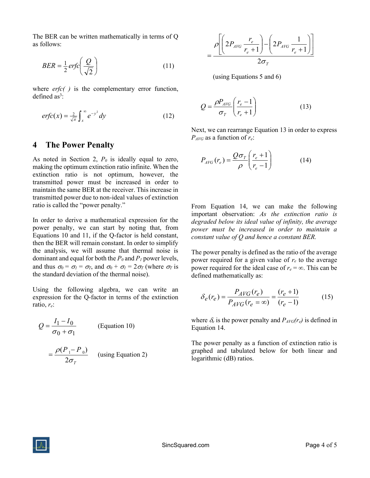The BER can be written mathematically in terms of Q as follows:

$$
BER = \frac{1}{2} \, erfc\left(\frac{Q}{\sqrt{2}}\right) \tag{11}
$$

where  $erfc()$  is the complementary error function, defined as<sup>3</sup>:

$$
erfc(x) = \frac{2}{\sqrt{\pi}} \int_{x}^{\infty} e^{-y^2} dy
$$
 (12)

#### 4 The Power Penalty

As noted in Section 2,  $P_0$  is ideally equal to zero, making the optimum extinction ratio infinite. When the extinction ratio is not optimum, however, the transmitted power must be increased in order to maintain the same BER at the receiver. This increase in transmitted power due to non-ideal values of extinction ratio is called the "power penalty."

In order to derive a mathematical expression for the power penalty, we can start by noting that, from Equations 10 and 11, if the Q-factor is held constant, then the BER will remain constant. In order to simplify the analysis, we will assume that thermal noise is dominant and equal for both the  $P_0$  and  $P_1$  power levels, and thus  $\sigma_0 = \sigma_I = \sigma_T$ , and  $\sigma_0 + \sigma_I = 2\sigma_T$  (where  $\sigma_T$  is the standard deviation of the thermal noise).

Using the following algebra, we can write an expression for the Q-factor in terms of the extinction ratio,  $r_e$ :

$$
Q = \frac{I_1 - I_0}{\sigma_0 + \sigma_1}
$$
 (Equation 10)  
=  $\frac{\rho(P_1 - P_0)}{2\sigma_T}$  (using Equation 2)

$$
= \frac{\rho \left[ \left( 2P_{AVG} \frac{r_e}{r_e+1} \right) - \left( 2P_{AVG} \frac{1}{r_e+1} \right) \right]}{2\sigma_T}
$$

(using Equations 5 and 6)

$$
Q = \frac{\rho P_{AVG}}{\sigma_T} \left( \frac{r_e - 1}{r_e + 1} \right) \tag{13}
$$

Next, we can rearrange Equation 13 in order to express  $P_{AVG}$  as a function of  $r_e$ :

$$
P_{AVG}(r_e) = \frac{Q\sigma_T}{\rho} \left(\frac{r_e + 1}{r_e - 1}\right) \tag{14}
$$

From Equation 14, we can make the following important observation: As the extinction ratio is degraded below its ideal value of infinity, the average power must be increased in order to maintain a constant value of Q and hence a constant BER.

The power penalty is defined as the ratio of the average power required for a given value of  $r_e$  to the average power required for the ideal case of  $r_e = \infty$ . This can be defined mathematically as:

$$
\delta_e(r_e) = \frac{P_{AVG}(r_e)}{P_{AVG}(r_e = \infty)} = \frac{(r_e + 1)}{(r_e - 1)}
$$
(15)

where  $\delta_e$  is the power penalty and  $P_{AVG}(r_e)$  is defined in Equation 14.

The power penalty as a function of extinction ratio is graphed and tabulated below for both linear and logarithmic (dB) ratios.